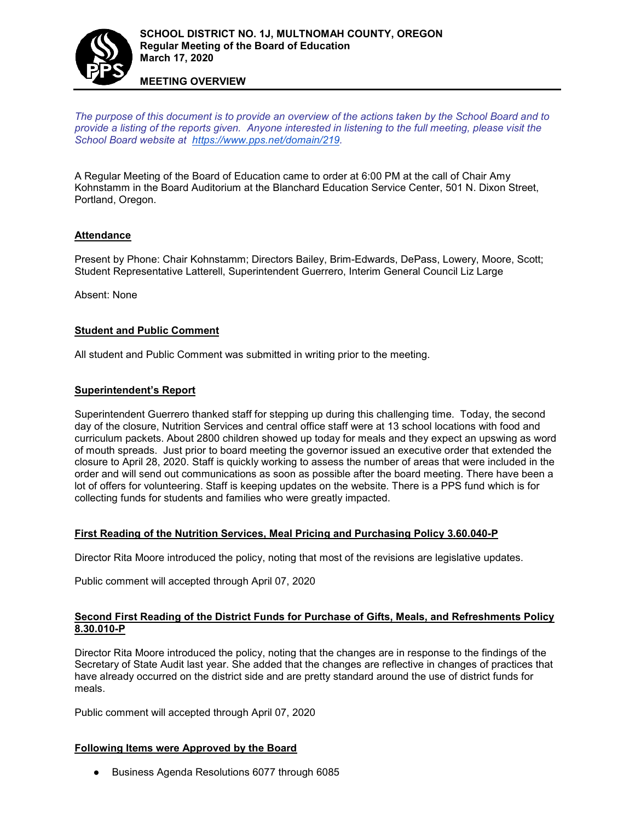

#### **MEETING OVERVIEW**

*The purpose of this document is to provide an overview of the actions taken by the School Board and to provide a listing of the reports given. Anyone interested in listening to the full meeting, please visit the School Board website at [https://www.pps.net/domain/219.](https://www.pps.net/domain/219)*

A Regular Meeting of the Board of Education came to order at 6:00 PM at the call of Chair Amy Kohnstamm in the Board Auditorium at the Blanchard Education Service Center, 501 N. Dixon Street, Portland, Oregon.

## **Attendance**

Present by Phone: Chair Kohnstamm; Directors Bailey, Brim-Edwards, DePass, Lowery, Moore, Scott; Student Representative Latterell, Superintendent Guerrero, Interim General Council Liz Large

Absent: None

## **Student and Public Comment**

All student and Public Comment was submitted in writing prior to the meeting.

#### **Superintendent's Report**

Superintendent Guerrero thanked staff for stepping up during this challenging time. Today, the second day of the closure, Nutrition Services and central office staff were at 13 school locations with food and curriculum packets. About 2800 children showed up today for meals and they expect an upswing as word of mouth spreads. Just prior to board meeting the governor issued an executive order that extended the closure to April 28, 2020. Staff is quickly working to assess the number of areas that were included in the order and will send out communications as soon as possible after the board meeting. There have been a lot of offers for volunteering. Staff is keeping updates on the website. There is a PPS fund which is for collecting funds for students and families who were greatly impacted.

#### **First Reading of the Nutrition Services, Meal Pricing and Purchasing Policy 3.60.040-P**

Director Rita Moore introduced the policy, noting that most of the revisions are legislative updates.

Public comment will accepted through April 07, 2020

#### **Second First Reading of the District Funds for Purchase of Gifts, Meals, and Refreshments Policy 8.30.010-P**

Director Rita Moore introduced the policy, noting that the changes are in response to the findings of the Secretary of State Audit last year. She added that the changes are reflective in changes of practices that have already occurred on the district side and are pretty standard around the use of district funds for meals.

Public comment will accepted through April 07, 2020

#### **Following Items were Approved by the Board**

● Business Agenda Resolutions 6077 through 6085